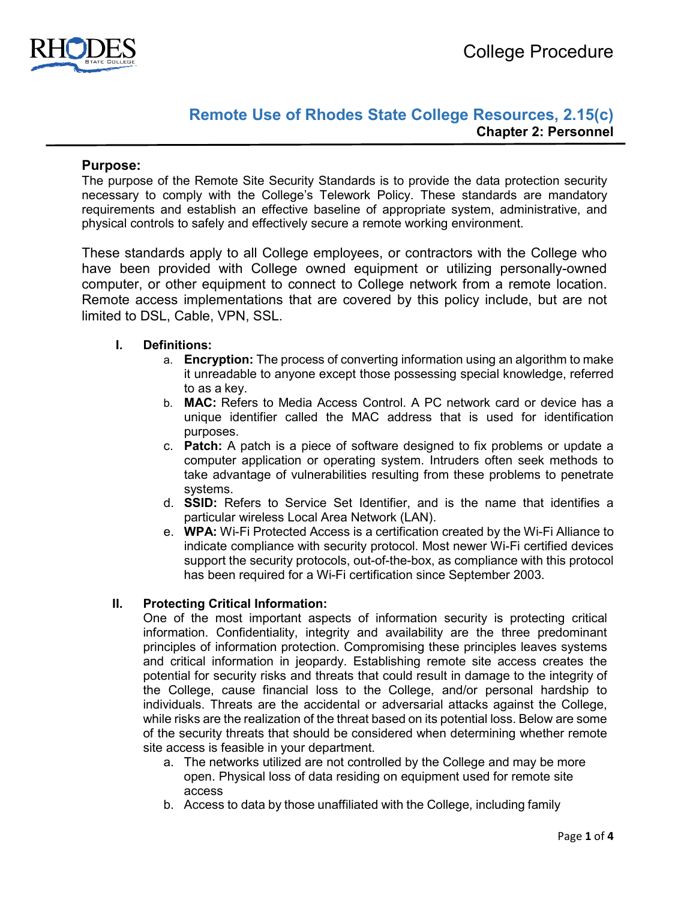

# **Remote Use of Rhodes State College Resources, 2.15(c) Chapter 2: Personnel**

## **Purpose:**

The purpose of the Remote Site Security Standards is to provide the data protection security necessary to comply with the College's Telework Policy. These standards are mandatory requirements and establish an effective baseline of appropriate system, administrative, and physical controls to safely and effectively secure a remote working environment.

These standards apply to all College employees, or contractors with the College who have been provided with College owned equipment or utilizing personally-owned computer, or other equipment to connect to College network from a remote location. Remote access implementations that are covered by this policy include, but are not limited to DSL, Cable, VPN, SSL.

## **I. Definitions:**

- a. **Encryption:** The process of converting information using an algorithm to make it unreadable to anyone except those possessing special knowledge, referred to as a key.
- b. **MAC:** Refers to Media Access Control. A PC network card or device has a unique identifier called the MAC address that is used for identification purposes.
- c. **Patch:** A patch is a piece of software designed to fix problems or update a computer application or operating system. Intruders often seek methods to take advantage of vulnerabilities resulting from these problems to penetrate systems.
- d. **SSID:** Refers to Service Set Identifier, and is the name that identifies a particular wireless Local Area Network (LAN).
- e. **WPA:** Wi-Fi Protected Access is a certification created by the Wi-Fi Alliance to indicate compliance with security protocol. Most newer Wi-Fi certified devices support the security protocols, out-of-the-box, as compliance with this protocol has been required for a Wi-Fi certification since September 2003.

#### **II. Protecting Critical Information:**

One of the most important aspects of information security is protecting critical information. Confidentiality, integrity and availability are the three predominant principles of information protection. Compromising these principles leaves systems and critical information in jeopardy. Establishing remote site access creates the potential for security risks and threats that could result in damage to the integrity of the College, cause financial loss to the College, and/or personal hardship to individuals. Threats are the accidental or adversarial attacks against the College, while risks are the realization of the threat based on its potential loss. Below are some of the security threats that should be considered when determining whether remote site access is feasible in your department.

- a. The networks utilized are not controlled by the College and may be more open. Physical loss of data residing on equipment used for remote site access
- b. Access to data by those unaffiliated with the College, including family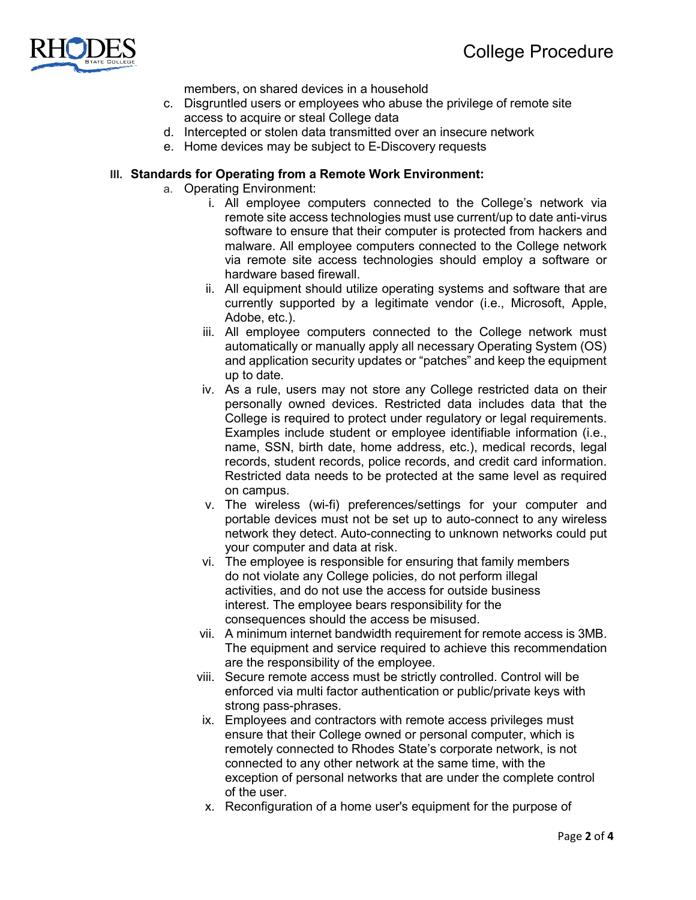

members, on shared devices in a household

- c. Disgruntled users or employees who abuse the privilege of remote site access to acquire or steal College data
- d. Intercepted or stolen data transmitted over an insecure network
- e. Home devices may be subject to E-Discovery requests

#### **III. Standards for Operating from a Remote Work Environment:**

- a. Operating Environment:
	- i. All employee computers connected to the College's network via remote site access technologies must use current/up to date anti-virus software to ensure that their computer is protected from hackers and malware. All employee computers connected to the College network via remote site access technologies should employ a software or hardware based firewall.
	- ii. All equipment should utilize operating systems and software that are currently supported by a legitimate vendor (i.e., Microsoft, Apple, Adobe, etc.).
	- iii. All employee computers connected to the College network must automatically or manually apply all necessary Operating System (OS) and application security updates or "patches" and keep the equipment up to date.
	- iv. As a rule, users may not store any College restricted data on their personally owned devices. Restricted data includes data that the College is required to protect under regulatory or legal requirements. Examples include student or employee identifiable information (i.e., name, SSN, birth date, home address, etc.), medical records, legal records, student records, police records, and credit card information. Restricted data needs to be protected at the same level as required on campus.
	- v. The wireless (wi-fi) preferences/settings for your computer and portable devices must not be set up to auto-connect to any wireless network they detect. Auto-connecting to unknown networks could put your computer and data at risk.
	- vi. The employee is responsible for ensuring that family members do not violate any College policies, do not perform illegal activities, and do not use the access for outside business interest. The employee bears responsibility for the consequences should the access be misused.
	- vii. A minimum internet bandwidth requirement for remote access is 3MB. The equipment and service required to achieve this recommendation are the responsibility of the employee.
	- viii. Secure remote access must be strictly controlled. Control will be enforced via multi factor authentication or public/private keys with strong pass-phrases.
	- ix. Employees and contractors with remote access privileges must ensure that their College owned or personal computer, which is remotely connected to Rhodes State's corporate network, is not connected to any other network at the same time, with the exception of personal networks that are under the complete control of the user.
	- x. Reconfiguration of a home user's equipment for the purpose of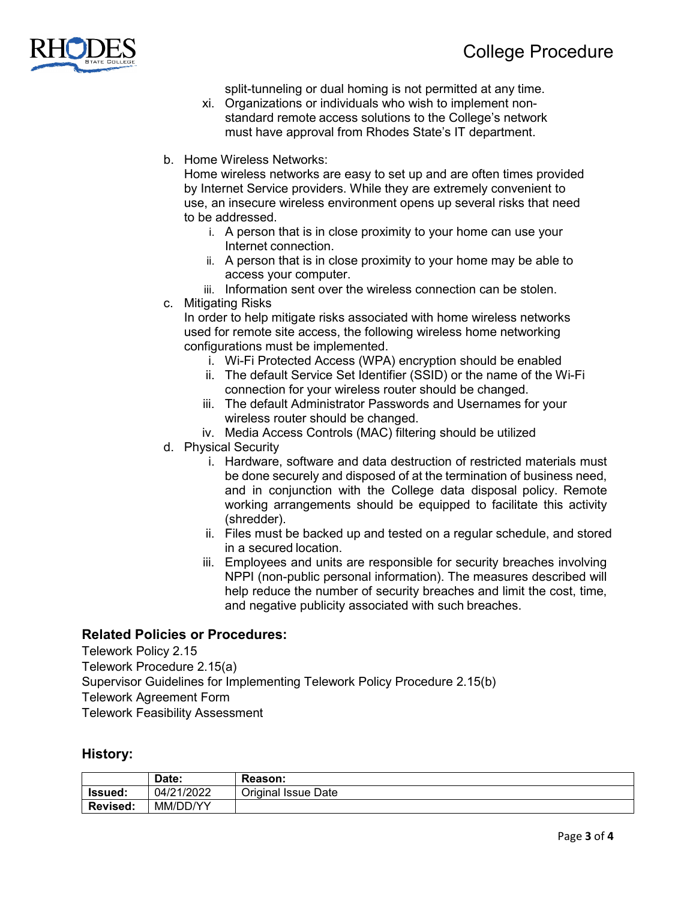

split-tunneling or dual homing is not permitted at any time.

- xi. Organizations or individuals who wish to implement nonstandard remote access solutions to the College's network must have approval from Rhodes State's IT department.
- b. Home Wireless Networks:

Home wireless networks are easy to set up and are often times provided by Internet Service providers. While they are extremely convenient to use, an insecure wireless environment opens up several risks that need to be addressed.

- i. A person that is in close proximity to your home can use your Internet connection.
- ii. A person that is in close proximity to your home may be able to access your computer.
- iii. Information sent over the wireless connection can be stolen.
- c. Mitigating Risks

In order to help mitigate risks associated with home wireless networks used for remote site access, the following wireless home networking configurations must be implemented.

- i. Wi-Fi Protected Access (WPA) encryption should be enabled
- ii. The default Service Set Identifier (SSID) or the name of the Wi-Fi connection for your wireless router should be changed.
- iii. The default Administrator Passwords and Usernames for your wireless router should be changed.
- iv. Media Access Controls (MAC) filtering should be utilized
- d. Physical Security
	- i. Hardware, software and data destruction of restricted materials must be done securely and disposed of at the termination of business need, and in conjunction with the College data disposal policy. Remote working arrangements should be equipped to facilitate this activity (shredder).
	- ii. Files must be backed up and tested on a regular schedule, and stored in a secured location.
	- iii. Employees and units are responsible for security breaches involving NPPI (non-public personal information). The measures described will help reduce the number of security breaches and limit the cost, time, and negative publicity associated with such breaches.

# **Related Policies or Procedures:**

Telework Policy 2.15 Telework Procedure 2.15(a) Supervisor Guidelines for Implementing Telework Policy Procedure 2.15(b) Telework Agreement Form Telework Feasibility Assessment

# **History:**

|                 | Date:      | Reason:             |
|-----------------|------------|---------------------|
| lssued:         | 04/21/2022 | Original Issue Date |
| <b>Revised:</b> | MM/DD/YY   |                     |